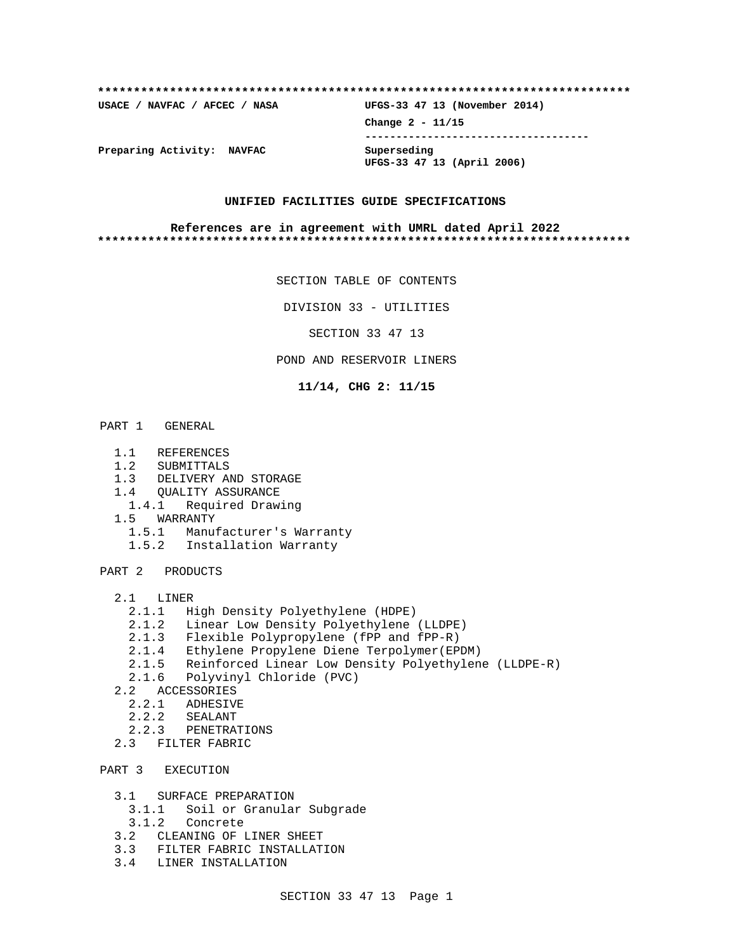| USACE / NAVFAC / AFCEC / NASA | UFGS-33 47 13 (November 2014)             |
|-------------------------------|-------------------------------------------|
|                               | Change $2 - 11/15$                        |
| Preparing Activity: NAVFAC    | Superseding<br>UFGS-33 47 13 (April 2006) |

### **UNIFIED FACILITIES GUIDE SPECIFICATIONS**

### **References are in agreement with UMRL dated April 2022 \*\*\*\*\*\*\*\*\*\*\*\*\*\*\*\*\*\*\*\*\*\*\*\*\*\*\*\*\*\*\*\*\*\*\*\*\*\*\*\*\*\*\*\*\*\*\*\*\*\*\*\*\*\*\*\*\*\*\*\*\*\*\*\*\*\*\*\*\*\*\*\*\*\***

SECTION TABLE OF CONTENTS

DIVISION 33 - UTILITIES

SECTION 33 47 13

# POND AND RESERVOIR LINERS

**11/14, CHG 2: 11/15**

- PART 1 GENERAL
	- 1.1 REFERENCES
	- 1.2 SUBMITTALS
	- 1.3 DELIVERY AND STORAGE
	-
	- 1.4 QUALITY ASSURANCE<br>1.4.1 Required Draw 1.4.1 Required Drawing
	- 1.5 WARRANTY
		- 1.5.1 Manufacturer's Warranty
		- 1.5.2 Installation Warranty

PART 2 PRODUCTS

- 2.1 LINER
	- 2.1.1 High Density Polyethylene (HDPE)
	- 2.1.2 Linear Low Density Polyethylene (LLDPE)
	- 2.1.3 Flexible Polypropylene (fPP and fPP-R)
	- 2.1.4 Ethylene Propylene Diene Terpolymer(EPDM)
	- 2.1.5 Reinforced Linear Low Density Polyethylene (LLDPE-R)
	- 2.1.6 Polyvinyl Chloride (PVC)
- 2.2 ACCESSORIES
	- 2.2.1 ADHESIVE
- 2.2.2 SEALANT
- 2.2.3 PENETRATIONS
	- 2.3 FILTER FABRIC

PART 3 EXECUTION

- 3.1 SURFACE PREPARATION
	- 3.1.1 Soil or Granular Subgrade
	- 3.1.2 Concrete
- 3.2 CLEANING OF LINER SHEET
- 3.3 FILTER FABRIC INSTALLATION
- 3.4 LINER INSTALLATION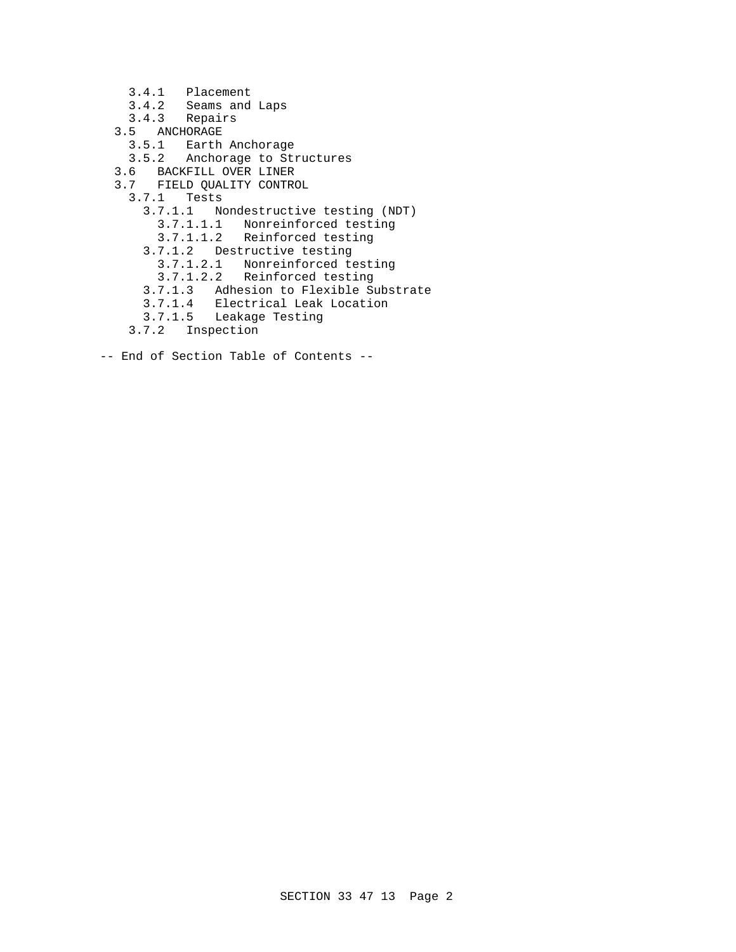3.4.1 Placement 3.4.2 Seams and Laps 3.4.3 Repairs 3.5 ANCHORAGE 3.5.1 Earth Anchorage 3.5.2 Anchorage to Structures 3.6 BACKFILL OVER LINER 3.7 FIELD QUALITY CONTROL 3.7.1 Tests 3.7.1.1 Nondestructive testing (NDT) 3.7.1.1.1 Nonreinforced testing 3.7.1.1.2 Reinforced testing 3.7.1.2 Destructive testing 3.7.1.2.1 Nonreinforced testing 3.7.1.2.2 Reinforced testing 3.7.1.3 Adhesion to Flexible Substrate 3.7.1.4 Electrical Leak Location 3.7.1.5 Leakage Testing 3.7.2 Inspection

-- End of Section Table of Contents --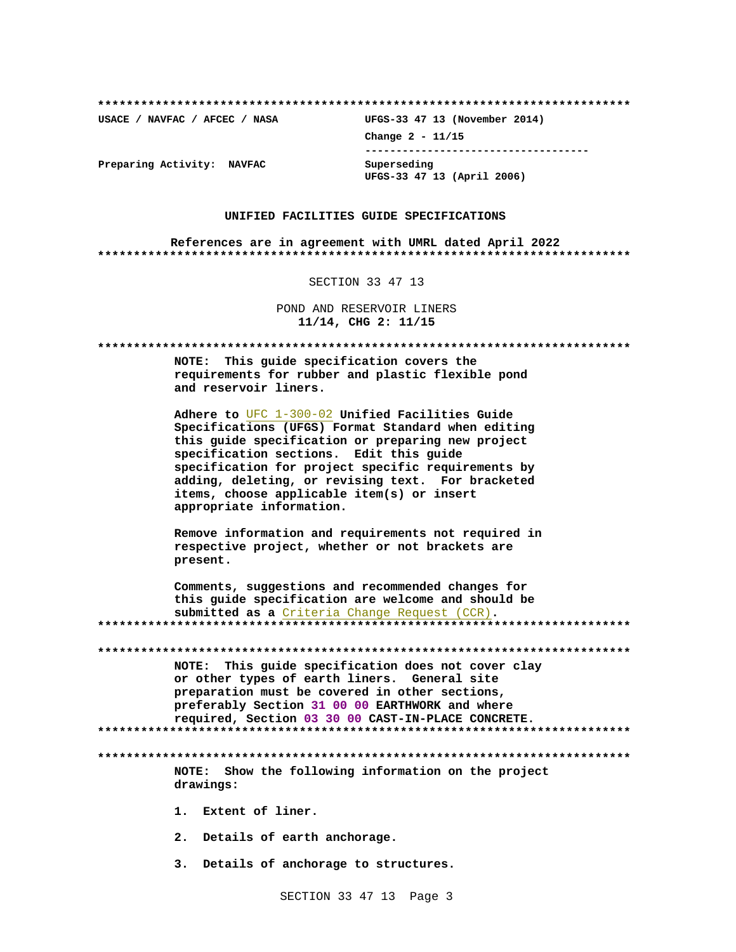USACE / NAVFAC / AFCEC / NASA

UFGS-33 47 13 (November 2014) Change 2 - 11/15 -------------------------------------Superseding UFGS-33 47 13 (April 2006)

Preparing Activity: NAVFAC

### UNIFIED FACILITIES GUIDE SPECIFICATIONS

References are in agreement with UMRL dated April 2022 

SECTION 33 47 13

POND AND RESERVOIR LINERS 11/14, CHG 2: 11/15

| This quide specification covers the<br><b>NOTE:</b><br>requirements for rubber and plastic flexible pond<br>and reservoir liners.                                                                                                                                                                                                                                                              |
|------------------------------------------------------------------------------------------------------------------------------------------------------------------------------------------------------------------------------------------------------------------------------------------------------------------------------------------------------------------------------------------------|
| Adhere to $UFC$ $1-300-02$ Unified Facilities Guide<br>Specifications (UFGS) Format Standard when editing<br>this guide specification or preparing new project<br>specification sections. Edit this guide<br>specification for project specific requirements by<br>adding, deleting, or revising text. For bracketed<br>items, choose applicable item(s) or insert<br>appropriate information. |
| Remove information and requirements not required in<br>respective project, whether or not brackets are<br>present.                                                                                                                                                                                                                                                                             |
| Comments, suggestions and recommended changes for<br>this guide specification are welcome and should be<br>submitted as a Criteria Change Request (CCR).                                                                                                                                                                                                                                       |
|                                                                                                                                                                                                                                                                                                                                                                                                |
| This guide specification does not cover clay<br><b>NOTE:</b><br>or other types of earth liners. General site<br>preparation must be covered in other sections,<br>preferably Section 31 00 00 EARTHWORK and where<br>required, Section 03 30 00 CAST-IN-PLACE CONCRETE.                                                                                                                        |
| Show the following information on the project<br><b>NOTE:</b><br>drawings:                                                                                                                                                                                                                                                                                                                     |
| Extent of liner.<br>1.                                                                                                                                                                                                                                                                                                                                                                         |
| 2. Details of earth anchorage.                                                                                                                                                                                                                                                                                                                                                                 |
| 3. Details of anchorage to structures.                                                                                                                                                                                                                                                                                                                                                         |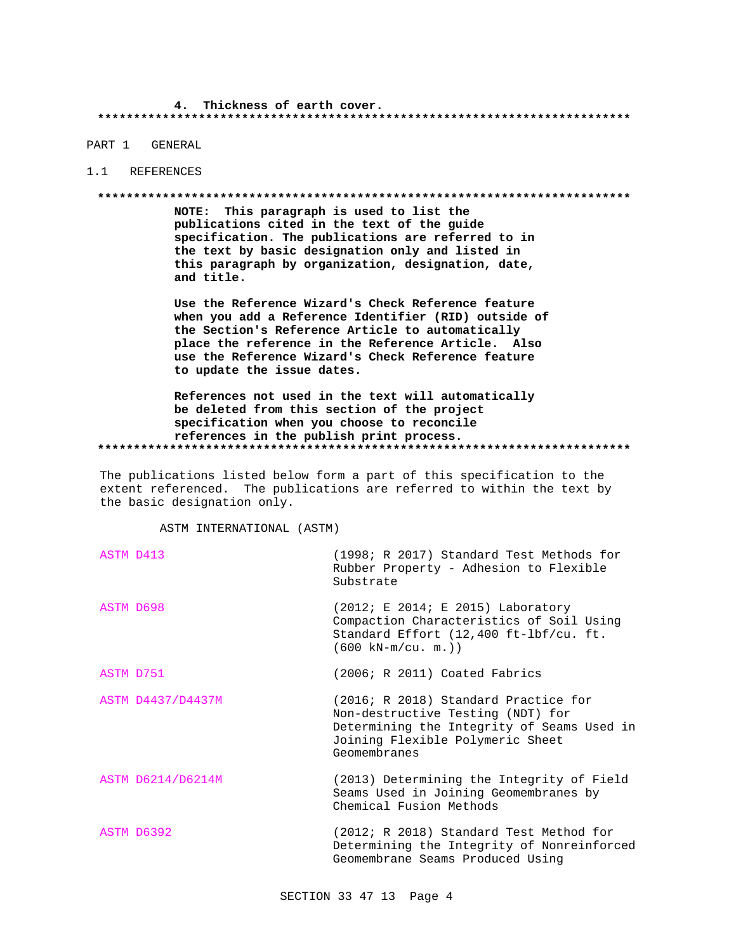### 4. Thickness of earth cover.

# PART 1 GENERAL

### 1.1 REFERENCES

#### 

NOTE: This paragraph is used to list the publications cited in the text of the guide specification. The publications are referred to in the text by basic designation only and listed in this paragraph by organization, designation, date, and title.

Use the Reference Wizard's Check Reference feature when you add a Reference Identifier (RID) outside of the Section's Reference Article to automatically place the reference in the Reference Article. Also use the Reference Wizard's Check Reference feature to update the issue dates.

References not used in the text will automatically be deleted from this section of the project specification when you choose to reconcile references in the publish print process. 

The publications listed below form a part of this specification to the extent referenced. The publications are referred to within the text by the basic designation only.

ASTM INTERNATIONAL (ASTM)

| ASTM D413         | (1998; R 2017) Standard Test Methods for<br>Rubber Property - Adhesion to Flexible<br>Substrate                                                                             |
|-------------------|-----------------------------------------------------------------------------------------------------------------------------------------------------------------------------|
| ASTM D698         | $(2012; E 2014; E 2015)$ Laboratory<br>Compaction Characteristics of Soil Using<br>Standard Effort (12,400 ft-1bf/cu. ft.<br>$(600 \text{ kN-m/cu. m.}))$                   |
| ASTM D751         | (2006; R 2011) Coated Fabrics                                                                                                                                               |
| ASTM D4437/D4437M | (2016; R 2018) Standard Practice for<br>Non-destructive Testing (NDT) for<br>Determining the Integrity of Seams Used in<br>Joining Flexible Polymeric Sheet<br>Geomembranes |
| ASTM D6214/D6214M | (2013) Determining the Integrity of Field<br>Seams Used in Joining Geomembranes by<br>Chemical Fusion Methods                                                               |
| ASTM D6392        | (2012; R 2018) Standard Test Method for<br>Determining the Integrity of Nonreinforced<br>Geomembrane Seams Produced Using                                                   |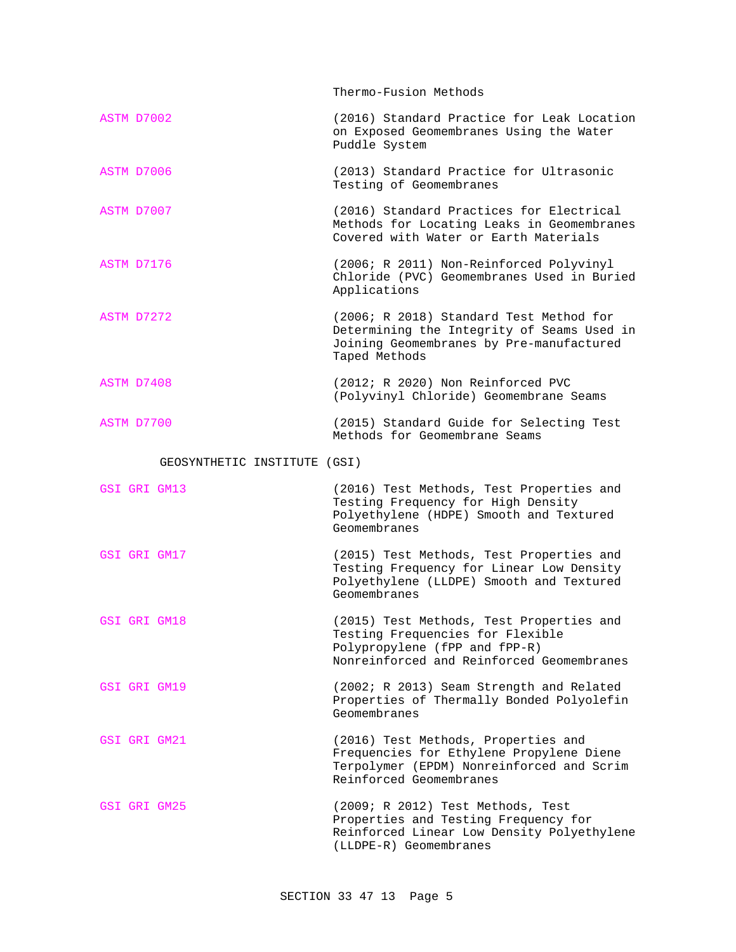|                              | Thermo-Fusion Methods                                                                                                                                      |
|------------------------------|------------------------------------------------------------------------------------------------------------------------------------------------------------|
| ASTM D7002                   | (2016) Standard Practice for Leak Location<br>on Exposed Geomembranes Using the Water<br>Puddle System                                                     |
| ASTM D7006                   | (2013) Standard Practice for Ultrasonic<br>Testing of Geomembranes                                                                                         |
| ASTM D7007                   | (2016) Standard Practices for Electrical<br>Methods for Locating Leaks in Geomembranes<br>Covered with Water or Earth Materials                            |
| ASTM D7176                   | (2006; R 2011) Non-Reinforced Polyvinyl<br>Chloride (PVC) Geomembranes Used in Buried<br>Applications                                                      |
| ASTM D7272                   | (2006; R 2018) Standard Test Method for<br>Determining the Integrity of Seams Used in<br>Joining Geomembranes by Pre-manufactured<br>Taped Methods         |
| ASTM D7408                   | (2012; R 2020) Non Reinforced PVC<br>(Polyvinyl Chloride) Geomembrane Seams                                                                                |
| ASTM D7700                   | (2015) Standard Guide for Selecting Test<br>Methods for Geomembrane Seams                                                                                  |
| GEOSYNTHETIC INSTITUTE (GSI) |                                                                                                                                                            |
| GSI GRI GM13                 | (2016) Test Methods, Test Properties and<br>Testing Frequency for High Density<br>Polyethylene (HDPE) Smooth and Textured<br>Geomembranes                  |
| GSI GRI GM17                 | (2015) Test Methods, Test Properties and<br>Testing Frequency for Linear Low Density<br>Polyethylene (LLDPE) Smooth and Textured<br>Geomembranes           |
| GSI GRI GM18                 | (2015) Test Methods, Test Properties and<br>Testing Frequencies for Flexible<br>Polypropylene (fPP and fPP-R)<br>Nonreinforced and Reinforced Geomembranes |
| GSI GRI GM19                 | (2002; R 2013) Seam Strength and Related<br>Properties of Thermally Bonded Polyolefin<br>Geomembranes                                                      |
| GSI GRI GM21                 | (2016) Test Methods, Properties and<br>Frequencies for Ethylene Propylene Diene<br>Terpolymer (EPDM) Nonreinforced and Scrim<br>Reinforced Geomembranes    |
| GSI GRI GM25                 | (2009; R 2012) Test Methods, Test<br>Properties and Testing Frequency for<br>Reinforced Linear Low Density Polyethylene<br>(LLDPE-R) Geomembranes          |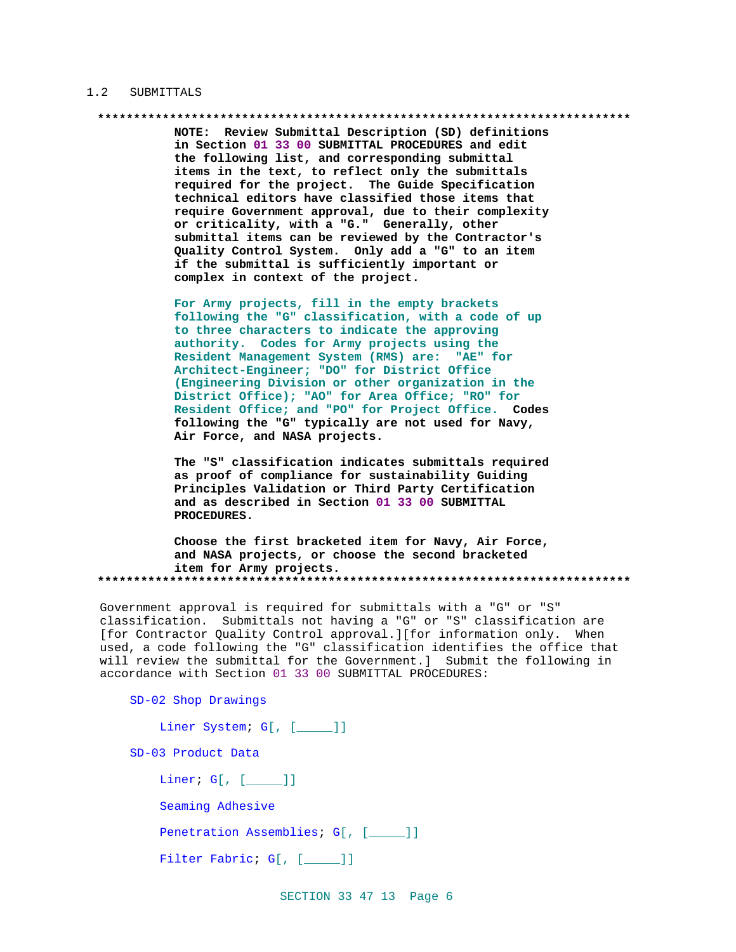### 1.2 SUBMITTALS

NOTE: Review Submittal Description (SD) definitions in Section 01 33 00 SUBMITTAL PROCEDURES and edit the following list, and corresponding submittal items in the text, to reflect only the submittals required for the project. The Guide Specification technical editors have classified those items that require Government approval, due to their complexity or criticality, with a "G." Generally, other submittal items can be reviewed by the Contractor's Quality Control System. Only add a "G" to an item if the submittal is sufficiently important or complex in context of the project.

For Army projects, fill in the empty brackets following the "G" classification, with a code of up to three characters to indicate the approving authority. Codes for Army projects using the Resident Management System (RMS) are: "AE" for Architect-Engineer; "DO" for District Office (Engineering Division or other organization in the District Office); "AO" for Area Office; "RO" for Resident Office; and "PO" for Project Office. Codes following the "G" typically are not used for Navy, Air Force, and NASA projects.

The "S" classification indicates submittals required as proof of compliance for sustainability Guiding Principles Validation or Third Party Certification and as described in Section 01 33 00 SUBMITTAL PROCEDURES.

Choose the first bracketed item for Navy, Air Force, and NASA projects, or choose the second bracketed item for Army projects. 

Government approval is required for submittals with a "G" or "S" classification. Submittals not having a "G" or "S" classification are [for Contractor Quality Control approval.][for information only. When used, a code following the "G" classification identifies the office that will review the submittal for the Government.] Submit the following in accordance with Section 01 33 00 SUBMITTAL PROCEDURES:

```
SD-02 Shop Drawings
```

| Liner System; G[, [ ]]              |  |
|-------------------------------------|--|
| SD-03 Product Data                  |  |
| Liner; $G[$ , $[$ $]$               |  |
| Seaming Adhesive                    |  |
| Penetration Assemblies; G[, [____]] |  |
| Filter Fabric; G[, [ ]]             |  |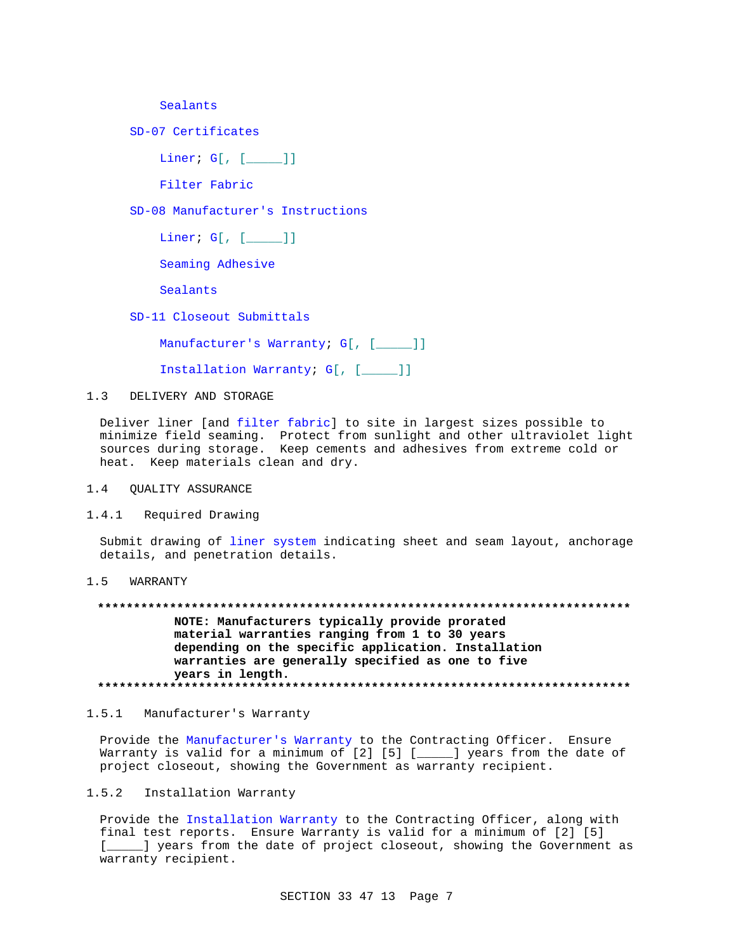Sealants

SD-07 Certificates

Liner; G[, [\_\_\_\_\_]]

Filter Fabric

SD-08 Manufacturer's Instructions

Liner; G[, [\_\_\_\_\_]]

Seaming Adhesive

Sealants

SD-11 Closeout Submittals

Manufacturer's Warranty; G[, [\_\_\_\_]]

Installation Warranty; G[, [\_\_\_\_\_]]

1.3 DELIVERY AND STORAGE

Deliver liner [and filter fabric] to site in largest sizes possible to minimize field seaming. Protect from sunlight and other ultraviolet light sources during storage. Keep cements and adhesives from extreme cold or heat. Keep materials clean and dry.

1.4 QUALITY ASSURANCE

1.4.1 Required Drawing

Submit drawing of liner system indicating sheet and seam layout, anchorage details, and penetration details.

# 1.5 WARRANTY

**\*\*\*\*\*\*\*\*\*\*\*\*\*\*\*\*\*\*\*\*\*\*\*\*\*\*\*\*\*\*\*\*\*\*\*\*\*\*\*\*\*\*\*\*\*\*\*\*\*\*\*\*\*\*\*\*\*\*\*\*\*\*\*\*\*\*\*\*\*\*\*\*\*\* NOTE: Manufacturers typically provide prorated material warranties ranging from 1 to 30 years depending on the specific application. Installation warranties are generally specified as one to five years in length. \*\*\*\*\*\*\*\*\*\*\*\*\*\*\*\*\*\*\*\*\*\*\*\*\*\*\*\*\*\*\*\*\*\*\*\*\*\*\*\*\*\*\*\*\*\*\*\*\*\*\*\*\*\*\*\*\*\*\*\*\*\*\*\*\*\*\*\*\*\*\*\*\*\***

1.5.1 Manufacturer's Warranty

Provide the Manufacturer's Warranty to the Contracting Officer. Ensure Warranty is valid for a minimum of [2] [5] [\_\_\_\_] years from the date of project closeout, showing the Government as warranty recipient.

# 1.5.2 Installation Warranty

Provide the Installation Warranty to the Contracting Officer, along with final test reports. Ensure Warranty is valid for a minimum of [2] [5] [*\_\_\_\_\_*] years from the date of project closeout, showing the Government as warranty recipient.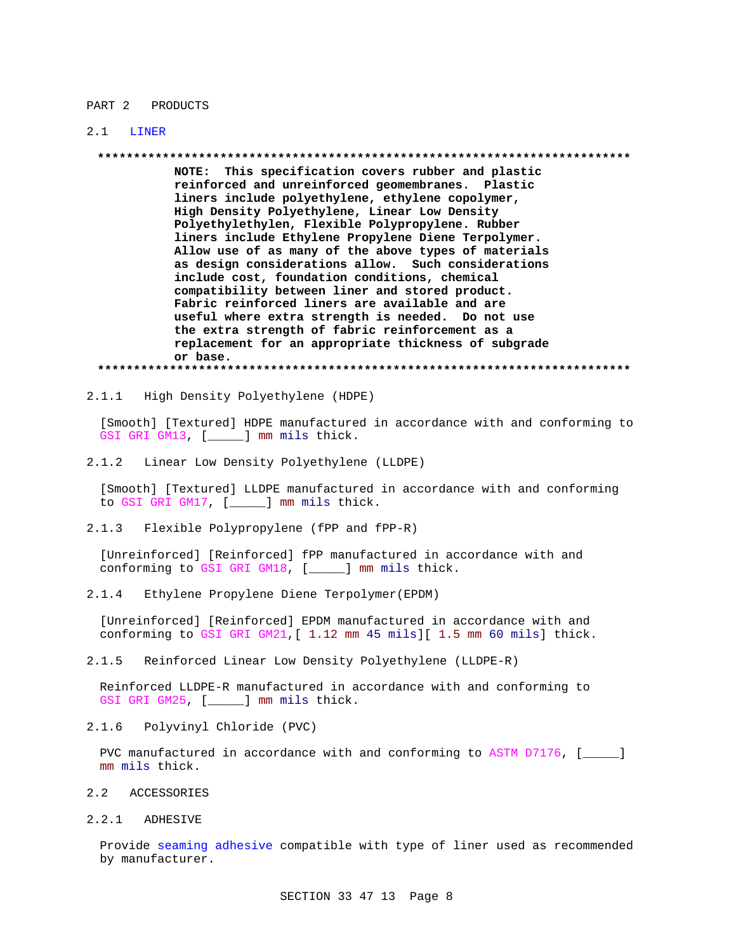#### PART 2 PRODUCTS

#### $2.1$ LINER

NOTE: This specification covers rubber and plastic reinforced and unreinforced geomembranes. Plastic liners include polyethylene, ethylene copolymer, High Density Polyethylene, Linear Low Density Polyethylethylen, Flexible Polypropylene. Rubber liners include Ethylene Propylene Diene Terpolymer. Allow use of as many of the above types of materials as design considerations allow. Such considerations include cost, foundation conditions, chemical compatibility between liner and stored product. Fabric reinforced liners are available and are useful where extra strength is needed. Do not use the extra strength of fabric reinforcement as a replacement for an appropriate thickness of subgrade or base.

High Density Polyethylene (HDPE)  $2.1.1$ 

[Smooth] [Textured] HDPE manufactured in accordance with and conforming to GSI GRI GM13, [\_\_\_\_\_] mm mils thick.

 $2.1.2$ Linear Low Density Polyethylene (LLDPE)

[Smooth] [Textured] LLDPE manufactured in accordance with and conforming to GSI GRI GM17, [\_\_\_\_] mm mils thick.

 $2.1.3$ Flexible Polypropylene (fPP and fPP-R)

[Unreinforced] [Reinforced] fPP manufactured in accordance with and conforming to GSI GRI GM18, [ \_\_\_\_ ] mm mils thick.

 $2.1.4$ Ethylene Propylene Diene Terpolymer (EPDM)

[Unreinforced] [Reinforced] EPDM manufactured in accordance with and conforming to GSI GRI GM21, [ 1.12 mm 45 mils] [ 1.5 mm 60 mils] thick.

 $2.1.5$ Reinforced Linear Low Density Polyethylene (LLDPE-R)

Reinforced LLDPE-R manufactured in accordance with and conforming to GSI GRI GM25, [\_\_\_\_] mm mils thick.

Polyvinyl Chloride (PVC)  $2.1.6$ 

PVC manufactured in accordance with and conforming to ASTM D7176, [\_\_\_\_\_] mm mils thick.

- $2.2$ ACCESSORIES
- 2.2.1 ADHESIVE

Provide seaming adhesive compatible with type of liner used as recommended by manufacturer.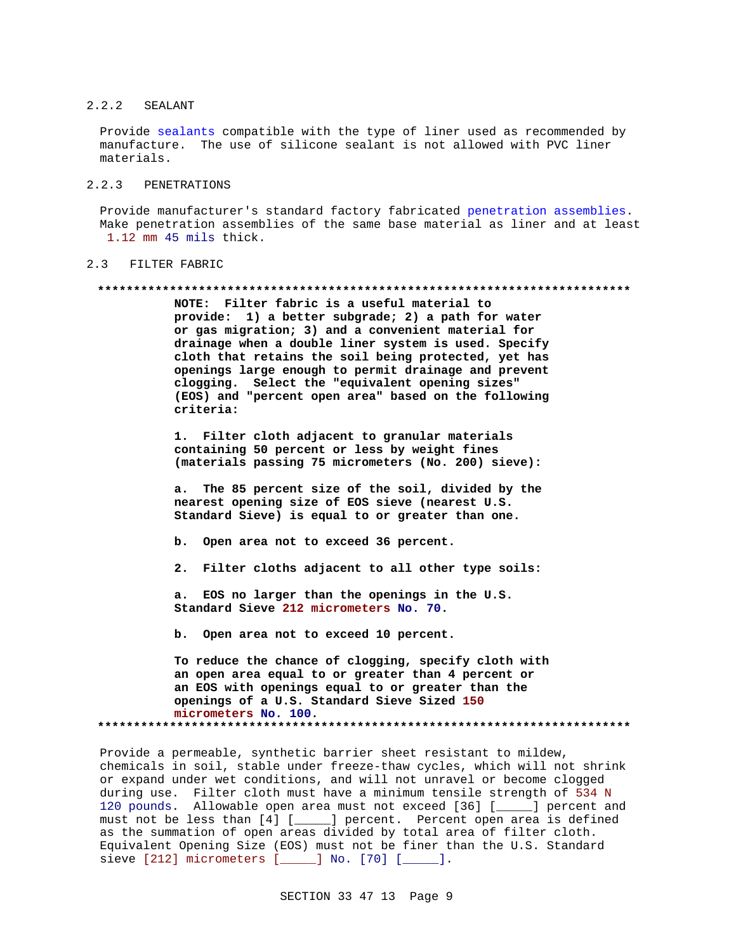### 2.2.2 SEALANT

Provide sealants compatible with the type of liner used as recommended by manufacture. The use of silicone sealant is not allowed with PVC liner materials.

# 2.2.3 PENETRATIONS

Provide manufacturer's standard factory fabricated penetration assemblies. Make penetration assemblies of the same base material as liner and at least 1.12 mm 45 mils thick.

# 2.3 FILTER FABRIC

#### **\*\*\*\*\*\*\*\*\*\*\*\*\*\*\*\*\*\*\*\*\*\*\*\*\*\*\*\*\*\*\*\*\*\*\*\*\*\*\*\*\*\*\*\*\*\*\*\*\*\*\*\*\*\*\*\*\*\*\*\*\*\*\*\*\*\*\*\*\*\*\*\*\*\***

**NOTE: Filter fabric is a useful material to provide: 1) a better subgrade; 2) a path for water or gas migration; 3) and a convenient material for drainage when a double liner system is used. Specify cloth that retains the soil being protected, yet has openings large enough to permit drainage and prevent clogging. Select the "equivalent opening sizes" (EOS) and "percent open area" based on the following criteria:**

**1. Filter cloth adjacent to granular materials containing 50 percent or less by weight fines (materials passing 75 micrometers (No. 200) sieve):**

**a. The 85 percent size of the soil, divided by the nearest opening size of EOS sieve (nearest U.S. Standard Sieve) is equal to or greater than one.**

**b. Open area not to exceed 36 percent.**

**2. Filter cloths adjacent to all other type soils:**

**a. EOS no larger than the openings in the U.S. Standard Sieve 212 micrometers No. 70.**

**b. Open area not to exceed 10 percent.**

**To reduce the chance of clogging, specify cloth with an open area equal to or greater than 4 percent or an EOS with openings equal to or greater than the openings of a U.S. Standard Sieve Sized 150 micrometers No. 100. \*\*\*\*\*\*\*\*\*\*\*\*\*\*\*\*\*\*\*\*\*\*\*\*\*\*\*\*\*\*\*\*\*\*\*\*\*\*\*\*\*\*\*\*\*\*\*\*\*\*\*\*\*\*\*\*\*\*\*\*\*\*\*\*\*\*\*\*\*\*\*\*\*\***

Provide a permeable, synthetic barrier sheet resistant to mildew, chemicals in soil, stable under freeze-thaw cycles, which will not shrink or expand under wet conditions, and will not unravel or become clogged during use. Filter cloth must have a minimum tensile strength of 534 N 120 pounds. Allowable open area must not exceed [36] [\_\_\_\_\_] percent and must not be less than [4] [\_\_\_\_\_] percent. Percent open area is defined as the summation of open areas divided by total area of filter cloth. Equivalent Opening Size (EOS) must not be finer than the U.S. Standard sieve [212] micrometers [\_\_\_\_\_] No. [70] [\_\_\_\_\_].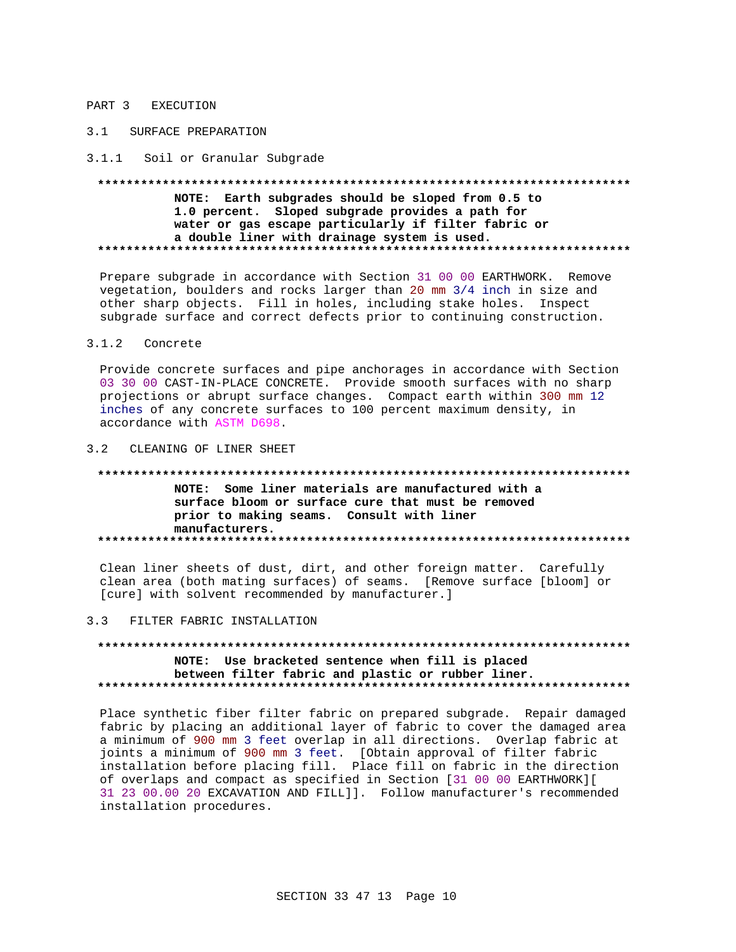# PART 3 EXECUTION

# 3.1 SURFACE PREPARATION

### 3.1.1 Soil or Granular Subgrade

# NOTE: Earth subgrades should be sloped from 0.5 to 1.0 percent. Sloped subgrade provides a path for water or gas escape particularly if filter fabric or a double liner with drainage system is used.

Prepare subgrade in accordance with Section 31 00 00 EARTHWORK. Remove vegetation, boulders and rocks larger than 20 mm 3/4 inch in size and other sharp objects. Fill in holes, including stake holes. Inspect subgrade surface and correct defects prior to continuing construction.

#### $3.1.2$ Concrete

Provide concrete surfaces and pipe anchorages in accordance with Section 03 30 00 CAST-IN-PLACE CONCRETE. Provide smooth surfaces with no sharp projections or abrupt surface changes. Compact earth within 300 mm 12 inches of any concrete surfaces to 100 percent maximum density, in accordance with ASTM D698.

# 3.2 CLEANING OF LINER SHEET

# NOTE: Some liner materials are manufactured with a surface bloom or surface cure that must be removed prior to making seams. Consult with liner manufacturers.

Clean liner sheets of dust, dirt, and other foreign matter. Carefully clean area (both mating surfaces) of seams. [Remove surface [bloom] or [cure] with solvent recommended by manufacturer.]

#### $3.3$ FILTER FABRIC INSTALLATION

# NOTE: Use bracketed sentence when fill is placed between filter fabric and plastic or rubber liner.

Place synthetic fiber filter fabric on prepared subgrade. Repair damaged fabric by placing an additional layer of fabric to cover the damaged area a minimum of 900 mm 3 feet overlap in all directions. Overlap fabric at joints a minimum of 900 mm 3 feet. [Obtain approval of filter fabric installation before placing fill. Place fill on fabric in the direction of overlaps and compact as specified in Section [31 00 00 EARTHWORK][ 31 23 00.00 20 EXCAVATION AND FILL]]. Follow manufacturer's recommended installation procedures.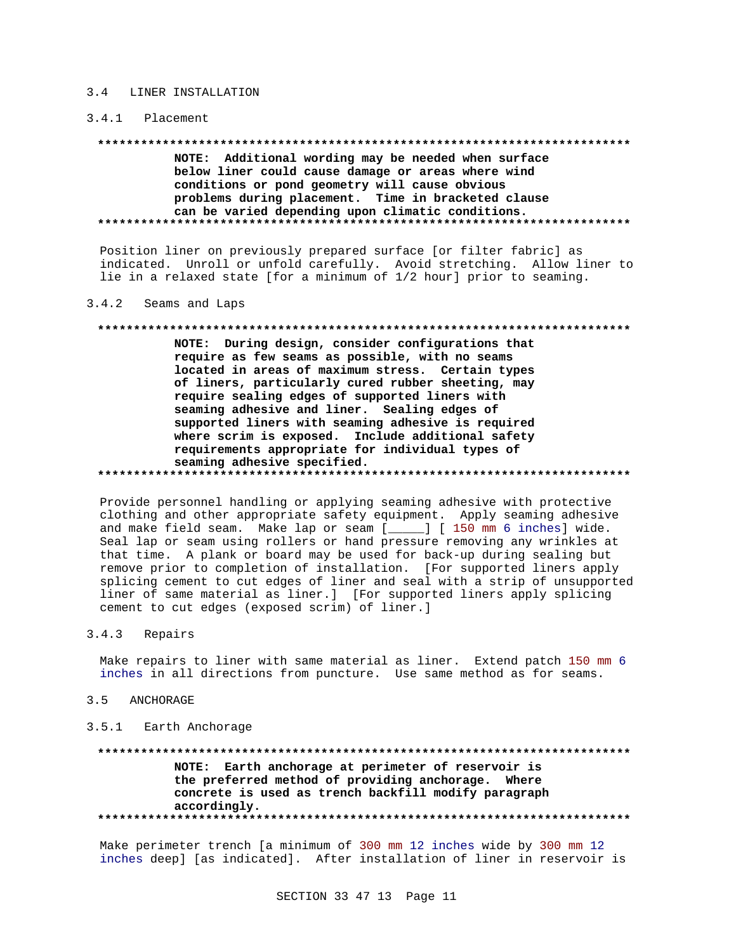#### LINER INSTALLATION  $3\quad 4$

### 3.4.1 Placement

NOTE: Additional wording may be needed when surface below liner could cause damage or areas where wind conditions or pond geometry will cause obvious problems during placement. Time in bracketed clause can be varied depending upon climatic conditions. 

Position liner on previously prepared surface [or filter fabric] as indicated. Unroll or unfold carefully. Avoid stretching. Allow liner to lie in a relaxed state [for a minimum of 1/2 hour] prior to seaming.

#### $3.4.2$ Seams and Laps

### 

NOTE: During design, consider configurations that require as few seams as possible, with no seams located in areas of maximum stress. Certain types of liners, particularly cured rubber sheeting, may require sealing edges of supported liners with seaming adhesive and liner. Sealing edges of supported liners with seaming adhesive is required where scrim is exposed. Include additional safety requirements appropriate for individual types of seaming adhesive specified.

Provide personnel handling or applying seaming adhesive with protective clothing and other appropriate safety equipment. Apply seaming adhesive and make field seam. Make lap or seam [\_\_\_\_\_] [ 150 mm 6 inches] wide. Seal lap or seam using rollers or hand pressure removing any wrinkles at that time. A plank or board may be used for back-up during sealing but remove prior to completion of installation. [For supported liners apply splicing cement to cut edges of liner and seal with a strip of unsupported liner of same material as liner.] [For supported liners apply splicing cement to cut edges (exposed scrim) of liner.]

#### $3.4.3$ Repairs

Make repairs to liner with same material as liner. Extend patch 150 mm 6 inches in all directions from puncture. Use same method as for seams.

#### $3.5$ ANCHORAGE

### 3.5.1 Earth Anchorage

# \*\*\*\*\*\*\*\*\*\*\*\*\*\*\*\*\*\*\*\* NOTE: Earth anchorage at perimeter of reservoir is the preferred method of providing anchorage. Where concrete is used as trench backfill modify paragraph accordingly.

Make perimeter trench [a minimum of 300 mm 12 inches wide by 300 mm 12 inches deep] [as indicated]. After installation of liner in reservoir is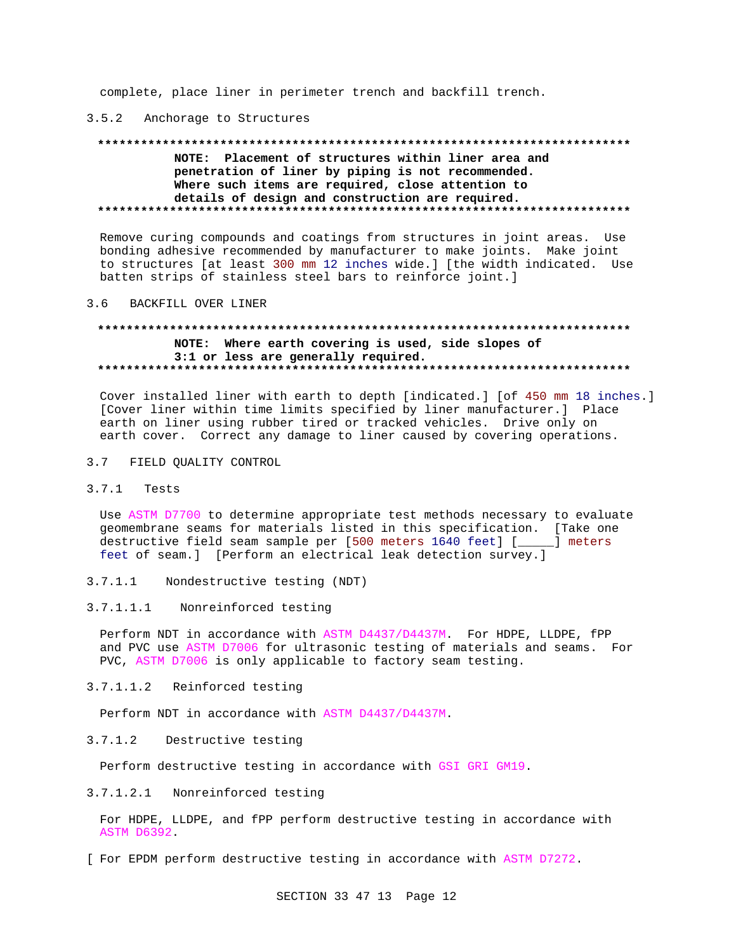complete, place liner in perimeter trench and backfill trench.

### 3.5.2 Anchorage to Structures

#### 

# NOTE: Placement of structures within liner area and penetration of liner by piping is not recommended. Where such items are required, close attention to details of design and construction are required.

Remove curing compounds and coatings from structures in joint areas. Use bonding adhesive recommended by manufacturer to make joints. Make joint to structures [at least 300 mm 12 inches wide.] [the width indicated. Use batten strips of stainless steel bars to reinforce joint.]

#### $3.6$ BACKFILL OVER LINER

# NOTE: Where earth covering is used, side slopes of 3:1 or less are generally required.

Cover installed liner with earth to depth [indicated.] [of 450 mm 18 inches.] [Cover liner within time limits specified by liner manufacturer.] Place earth on liner using rubber tired or tracked vehicles. Drive only on earth cover. Correct any damage to liner caused by covering operations.

3.7 FIELD QUALITY CONTROL

#### $3.7.1$ Tests

Use ASTM D7700 to determine appropriate test methods necessary to evaluate geomembrane seams for materials listed in this specification. [Take one destructive field seam sample per [500 meters 1640 feet] [\_\_\_\_\_] meters feet of seam.] [Perform an electrical leak detection survey.]

- Nondestructive testing (NDT)  $3.7.1.1$
- $3.7.1.1.1$ Nonreinforced testing

Perform NDT in accordance with ASTM D4437/D4437M. For HDPE, LLDPE, fPP and PVC use ASTM D7006 for ultrasonic testing of materials and seams. For PVC, ASTM D7006 is only applicable to factory seam testing.

3.7.1.1.2 Reinforced testing

Perform NDT in accordance with ASTM D4437/D4437M.

 $3.7.1.2$ Destructive testing

Perform destructive testing in accordance with GSI GRI GM19.

3.7.1.2.1 Nonreinforced testing

For HDPE, LLDPE, and fPP perform destructive testing in accordance with ASTM D6392

[ For EPDM perform destructive testing in accordance with ASTM D7272.